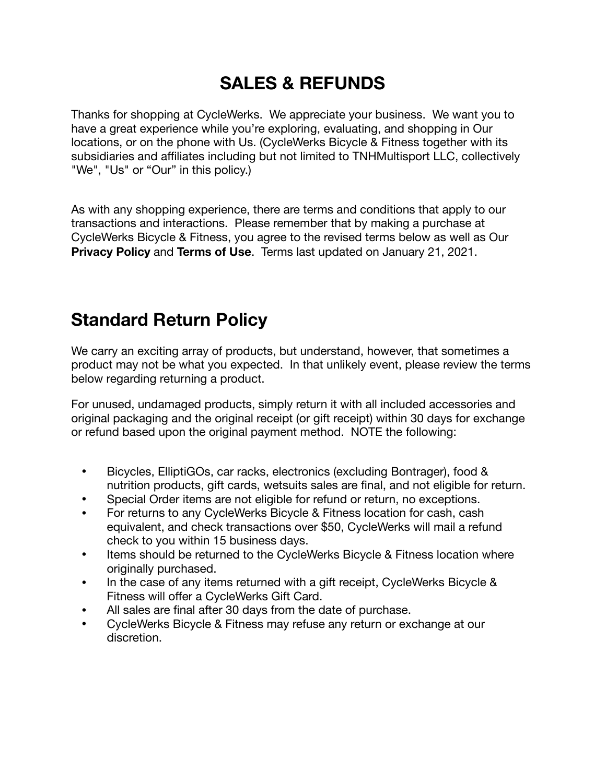# **SALES & REFUNDS**

Thanks for shopping at CycleWerks. We appreciate your business. We want you to have a great experience while you're exploring, evaluating, and shopping in Our locations, or on the phone with Us. (CycleWerks Bicycle & Fitness together with its subsidiaries and affiliates including but not limited to TNHMultisport LLC, collectively "We", "Us" or "Our" in this policy.)

As with any shopping experience, there are terms and conditions that apply to our transactions and interactions. Please remember that by making a purchase at CycleWerks Bicycle & Fitness, you agree to the revised terms below as well as Our **Privacy Policy** and **Terms of Use**. Terms last updated on January 21, 2021.

### **Standard Return Policy**

We carry an exciting array of products, but understand, however, that sometimes a product may not be what you expected. In that unlikely event, please review the terms below regarding returning a product.

For unused, undamaged products, simply return it with all included accessories and original packaging and the original receipt (or gift receipt) within 30 days for exchange or refund based upon the original payment method. NOTE the following:

- Bicycles, ElliptiGOs, car racks, electronics (excluding Bontrager), food & nutrition products, gift cards, wetsuits sales are final, and not eligible for return.
- Special Order items are not eligible for refund or return, no exceptions.
- For returns to any CycleWerks Bicycle & Fitness location for cash, cash equivalent, and check transactions over \$50, CycleWerks will mail a refund check to you within 15 business days.
- Items should be returned to the CycleWerks Bicycle & Fitness location where originally purchased.
- In the case of any items returned with a gift receipt, CycleWerks Bicycle & Fitness will offer a CycleWerks Gift Card.
- All sales are final after 30 days from the date of purchase.
- CycleWerks Bicycle & Fitness may refuse any return or exchange at our discretion.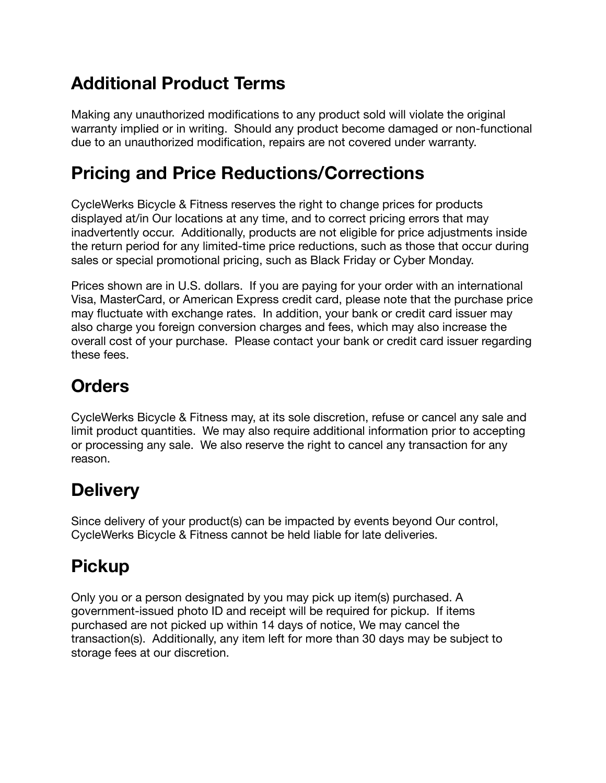# **Additional Product Terms**

Making any unauthorized modifications to any product sold will violate the original warranty implied or in writing. Should any product become damaged or non-functional due to an unauthorized modification, repairs are not covered under warranty.

### **Pricing and Price Reductions/Corrections**

CycleWerks Bicycle & Fitness reserves the right to change prices for products displayed at/in Our locations at any time, and to correct pricing errors that may inadvertently occur. Additionally, products are not eligible for price adjustments inside the return period for any limited-time price reductions, such as those that occur during sales or special promotional pricing, such as Black Friday or Cyber Monday.

Prices shown are in U.S. dollars. If you are paying for your order with an international Visa, MasterCard, or American Express credit card, please note that the purchase price may fluctuate with exchange rates. In addition, your bank or credit card issuer may also charge you foreign conversion charges and fees, which may also increase the overall cost of your purchase. Please contact your bank or credit card issuer regarding these fees.

# **Orders**

CycleWerks Bicycle & Fitness may, at its sole discretion, refuse or cancel any sale and limit product quantities. We may also require additional information prior to accepting or processing any sale. We also reserve the right to cancel any transaction for any reason.

# **Delivery**

Since delivery of your product(s) can be impacted by events beyond Our control, CycleWerks Bicycle & Fitness cannot be held liable for late deliveries.

# **Pickup**

Only you or a person designated by you may pick up item(s) purchased. A government-issued photo ID and receipt will be required for pickup. If items purchased are not picked up within 14 days of notice, We may cancel the transaction(s). Additionally, any item left for more than 30 days may be subject to storage fees at our discretion.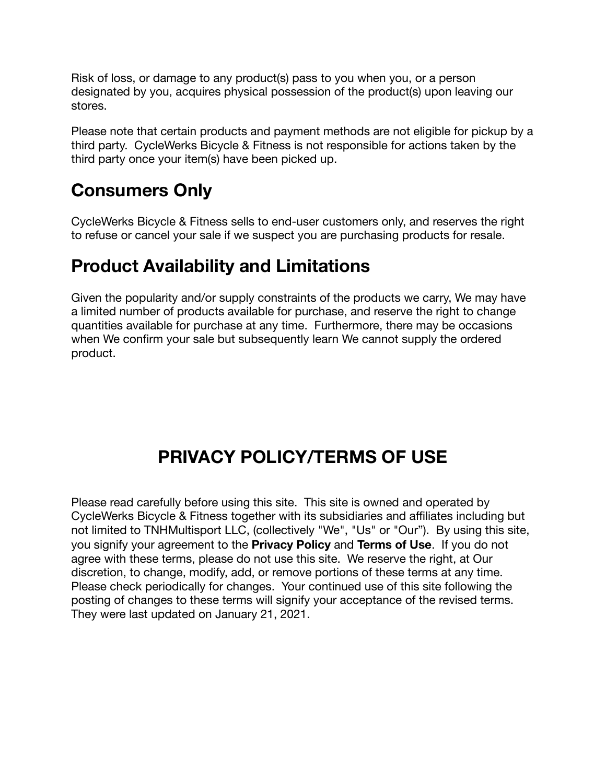Risk of loss, or damage to any product(s) pass to you when you, or a person designated by you, acquires physical possession of the product(s) upon leaving our stores.

Please note that certain products and payment methods are not eligible for pickup by a third party. CycleWerks Bicycle & Fitness is not responsible for actions taken by the third party once your item(s) have been picked up.

## **Consumers Only**

CycleWerks Bicycle & Fitness sells to end-user customers only, and reserves the right to refuse or cancel your sale if we suspect you are purchasing products for resale.

# **Product Availability and Limitations**

Given the popularity and/or supply constraints of the products we carry, We may have a limited number of products available for purchase, and reserve the right to change quantities available for purchase at any time. Furthermore, there may be occasions when We confirm your sale but subsequently learn We cannot supply the ordered product.

# **PRIVACY POLICY/TERMS OF USE**

Please read carefully before using this site. This site is owned and operated by CycleWerks Bicycle & Fitness together with its subsidiaries and affiliates including but not limited to TNHMultisport LLC, (collectively "We", "Us" or "Our"). By using this site, you signify your agreement to the **Privacy Policy** and **Terms of Use**. If you do not agree with these terms, please do not use this site. We reserve the right, at Our discretion, to change, modify, add, or remove portions of these terms at any time. Please check periodically for changes. Your continued use of this site following the posting of changes to these terms will signify your acceptance of the revised terms. They were last updated on January 21, 2021.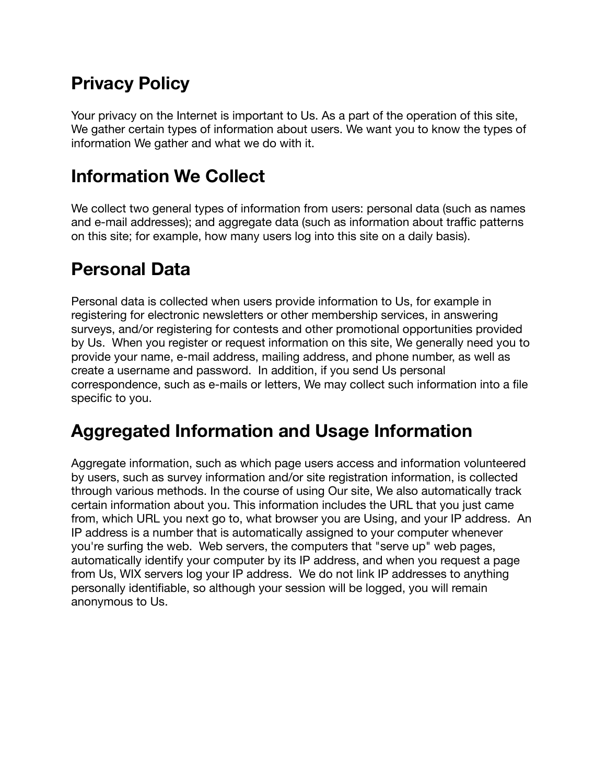## **Privacy Policy**

Your privacy on the Internet is important to Us. As a part of the operation of this site, We gather certain types of information about users. We want you to know the types of information We gather and what we do with it.

### **Information We Collect**

We collect two general types of information from users: personal data (such as names and e-mail addresses); and aggregate data (such as information about traffic patterns on this site; for example, how many users log into this site on a daily basis).

## **Personal Data**

Personal data is collected when users provide information to Us, for example in registering for electronic newsletters or other membership services, in answering surveys, and/or registering for contests and other promotional opportunities provided by Us. When you register or request information on this site, We generally need you to provide your name, e-mail address, mailing address, and phone number, as well as create a username and password. In addition, if you send Us personal correspondence, such as e-mails or letters, We may collect such information into a file specific to you.

### **Aggregated Information and Usage Information**

Aggregate information, such as which page users access and information volunteered by users, such as survey information and/or site registration information, is collected through various methods. In the course of using Our site, We also automatically track certain information about you. This information includes the URL that you just came from, which URL you next go to, what browser you are Using, and your IP address. An IP address is a number that is automatically assigned to your computer whenever you're surfing the web. Web servers, the computers that "serve up" web pages, automatically identify your computer by its IP address, and when you request a page from Us, WIX servers log your IP address. We do not link IP addresses to anything personally identifiable, so although your session will be logged, you will remain anonymous to Us.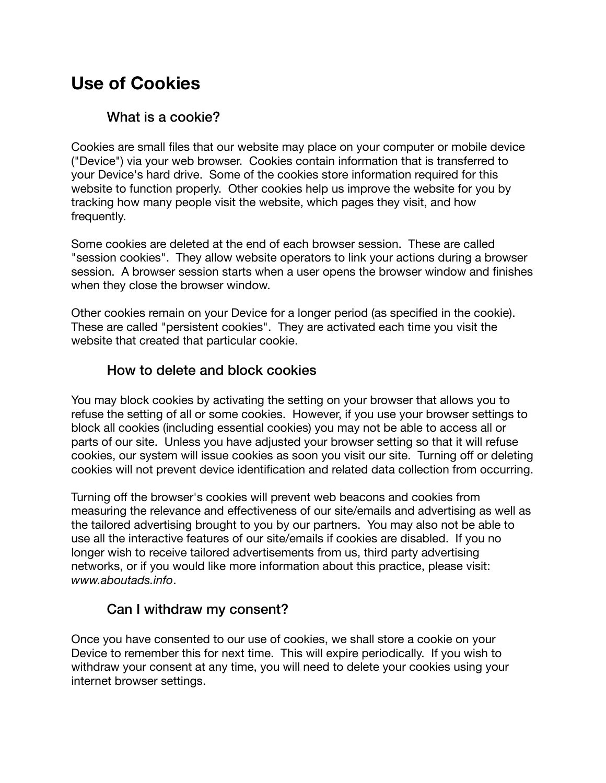### **Use of Cookies**

#### What is a cookie?

Cookies are small files that our website may place on your computer or mobile device ("Device") via your web browser. Cookies contain information that is transferred to your Device's hard drive. Some of the cookies store information required for this website to function properly. Other cookies help us improve the website for you by tracking how many people visit the website, which pages they visit, and how frequently.

Some cookies are deleted at the end of each browser session. These are called "session cookies". They allow website operators to link your actions during a browser session. A browser session starts when a user opens the browser window and finishes when they close the browser window.

Other cookies remain on your Device for a longer period (as specified in the cookie). These are called "persistent cookies". They are activated each time you visit the website that created that particular cookie.

#### How to delete and block cookies

You may block cookies by activating the setting on your browser that allows you to refuse the setting of all or some cookies. However, if you use your browser settings to block all cookies (including essential cookies) you may not be able to access all or parts of our site. Unless you have adjusted your browser setting so that it will refuse cookies, our system will issue cookies as soon you visit our site. Turning off or deleting cookies will not prevent device identification and related data collection from occurring.

Turning off the browser's cookies will prevent web beacons and cookies from measuring the relevance and effectiveness of our site/emails and advertising as well as the tailored advertising brought to you by our partners. You may also not be able to use all the interactive features of our site/emails if cookies are disabled. If you no longer wish to receive tailored advertisements from us, third party advertising networks, or if you would like more information about this practice, please visit: *www.aboutads.info*.

#### Can I withdraw my consent?

Once you have consented to our use of cookies, we shall store a cookie on your Device to remember this for next time. This will expire periodically. If you wish to withdraw your consent at any time, you will need to delete your cookies using your internet browser settings.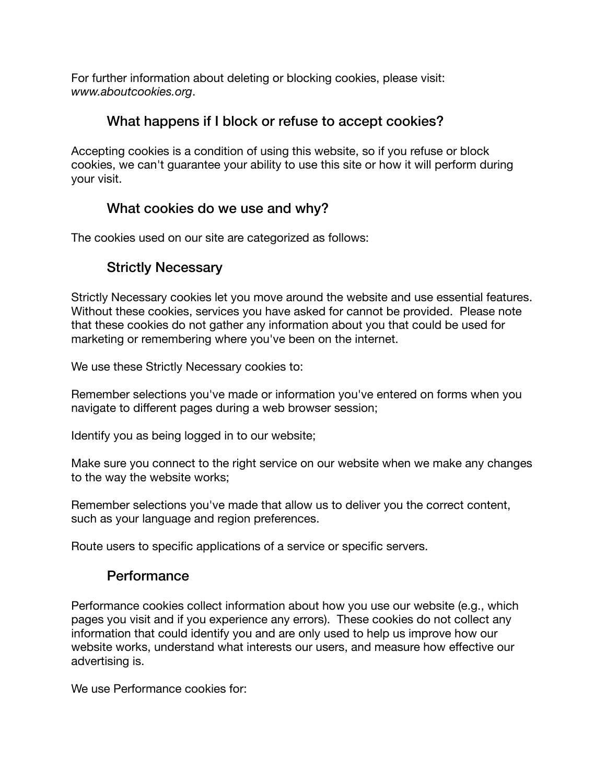For further information about deleting or blocking cookies, please visit: *www.aboutcookies.org*.

#### What happens if I block or refuse to accept cookies?

Accepting cookies is a condition of using this website, so if you refuse or block cookies, we can't guarantee your ability to use this site or how it will perform during your visit.

#### What cookies do we use and why?

The cookies used on our site are categorized as follows:

#### Strictly Necessary

Strictly Necessary cookies let you move around the website and use essential features. Without these cookies, services you have asked for cannot be provided. Please note that these cookies do not gather any information about you that could be used for marketing or remembering where you've been on the internet.

We use these Strictly Necessary cookies to:

Remember selections you've made or information you've entered on forms when you navigate to different pages during a web browser session;

Identify you as being logged in to our website;

Make sure you connect to the right service on our website when we make any changes to the way the website works;

Remember selections you've made that allow us to deliver you the correct content, such as your language and region preferences.

Route users to specific applications of a service or specific servers.

#### **Performance**

Performance cookies collect information about how you use our website (e.g., which pages you visit and if you experience any errors). These cookies do not collect any information that could identify you and are only used to help us improve how our website works, understand what interests our users, and measure how effective our advertising is.

We use Performance cookies for: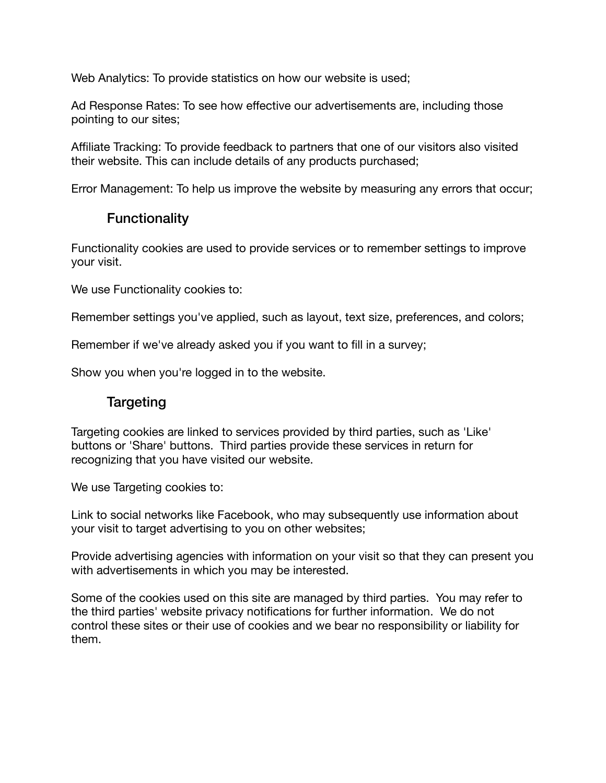Web Analytics: To provide statistics on how our website is used;

Ad Response Rates: To see how effective our advertisements are, including those pointing to our sites;

Affiliate Tracking: To provide feedback to partners that one of our visitors also visited their website. This can include details of any products purchased;

Error Management: To help us improve the website by measuring any errors that occur;

#### **Functionality**

Functionality cookies are used to provide services or to remember settings to improve your visit.

We use Functionality cookies to:

Remember settings you've applied, such as layout, text size, preferences, and colors;

Remember if we've already asked you if you want to fill in a survey;

Show you when you're logged in to the website.

#### **Targeting**

Targeting cookies are linked to services provided by third parties, such as 'Like' buttons or 'Share' buttons. Third parties provide these services in return for recognizing that you have visited our website.

We use Targeting cookies to:

Link to social networks like Facebook, who may subsequently use information about your visit to target advertising to you on other websites;

Provide advertising agencies with information on your visit so that they can present you with advertisements in which you may be interested.

Some of the cookies used on this site are managed by third parties. You may refer to the third parties' website privacy notifications for further information. We do not control these sites or their use of cookies and we bear no responsibility or liability for them.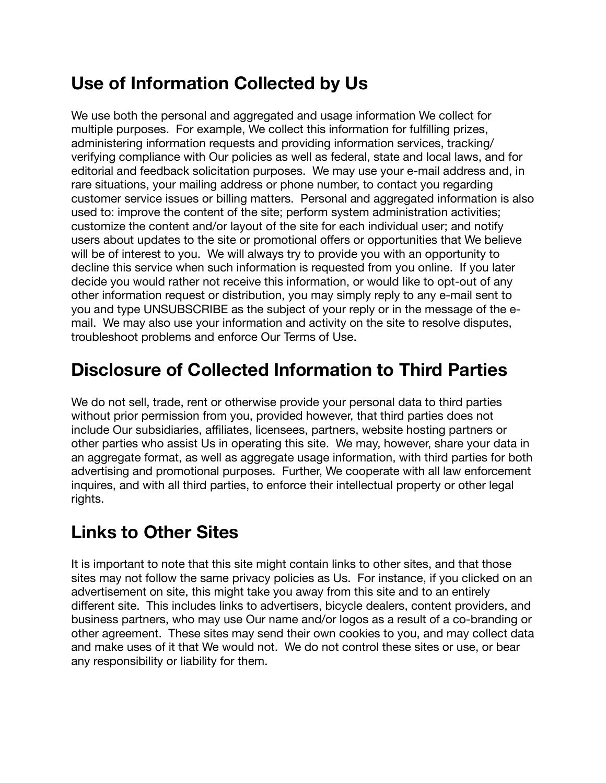## **Use of Information Collected by Us**

We use both the personal and aggregated and usage information We collect for multiple purposes. For example, We collect this information for fulfilling prizes, administering information requests and providing information services, tracking/ verifying compliance with Our policies as well as federal, state and local laws, and for editorial and feedback solicitation purposes. We may use your e-mail address and, in rare situations, your mailing address or phone number, to contact you regarding customer service issues or billing matters. Personal and aggregated information is also used to: improve the content of the site; perform system administration activities; customize the content and/or layout of the site for each individual user; and notify users about updates to the site or promotional offers or opportunities that We believe will be of interest to you. We will always try to provide you with an opportunity to decline this service when such information is requested from you online. If you later decide you would rather not receive this information, or would like to opt-out of any other information request or distribution, you may simply reply to any e-mail sent to you and type UNSUBSCRIBE as the subject of your reply or in the message of the email. We may also use your information and activity on the site to resolve disputes, troubleshoot problems and enforce Our Terms of Use.

### **Disclosure of Collected Information to Third Parties**

We do not sell, trade, rent or otherwise provide your personal data to third parties without prior permission from you, provided however, that third parties does not include Our subsidiaries, affiliates, licensees, partners, website hosting partners or other parties who assist Us in operating this site. We may, however, share your data in an aggregate format, as well as aggregate usage information, with third parties for both advertising and promotional purposes. Further, We cooperate with all law enforcement inquires, and with all third parties, to enforce their intellectual property or other legal rights.

## **Links to Other Sites**

It is important to note that this site might contain links to other sites, and that those sites may not follow the same privacy policies as Us. For instance, if you clicked on an advertisement on site, this might take you away from this site and to an entirely different site. This includes links to advertisers, bicycle dealers, content providers, and business partners, who may use Our name and/or logos as a result of a co-branding or other agreement. These sites may send their own cookies to you, and may collect data and make uses of it that We would not. We do not control these sites or use, or bear any responsibility or liability for them.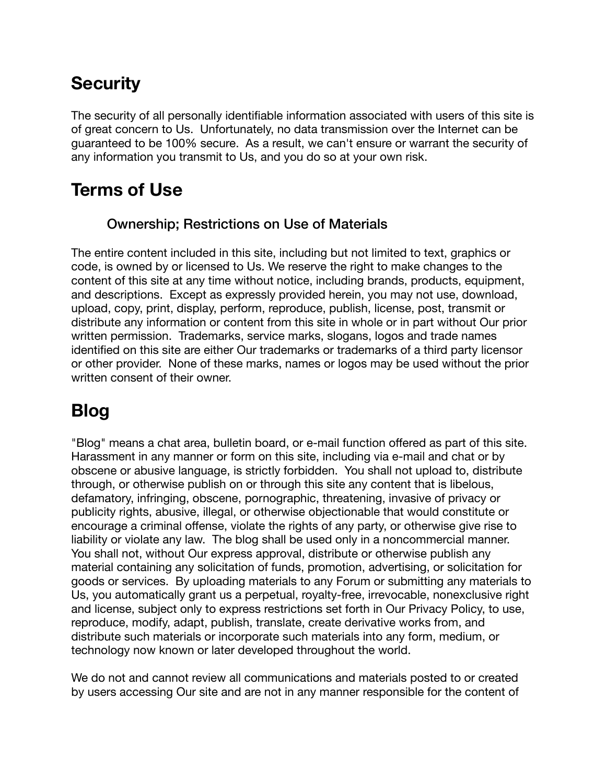# **Security**

The security of all personally identifiable information associated with users of this site is of great concern to Us. Unfortunately, no data transmission over the Internet can be guaranteed to be 100% secure. As a result, we can't ensure or warrant the security of any information you transmit to Us, and you do so at your own risk.

## **Terms of Use**

#### Ownership; Restrictions on Use of Materials

The entire content included in this site, including but not limited to text, graphics or code, is owned by or licensed to Us. We reserve the right to make changes to the content of this site at any time without notice, including brands, products, equipment, and descriptions. Except as expressly provided herein, you may not use, download, upload, copy, print, display, perform, reproduce, publish, license, post, transmit or distribute any information or content from this site in whole or in part without Our prior written permission. Trademarks, service marks, slogans, logos and trade names identified on this site are either Our trademarks or trademarks of a third party licensor or other provider. None of these marks, names or logos may be used without the prior written consent of their owner.

# **Blog**

"Blog" means a chat area, bulletin board, or e-mail function offered as part of this site. Harassment in any manner or form on this site, including via e-mail and chat or by obscene or abusive language, is strictly forbidden. You shall not upload to, distribute through, or otherwise publish on or through this site any content that is libelous, defamatory, infringing, obscene, pornographic, threatening, invasive of privacy or publicity rights, abusive, illegal, or otherwise objectionable that would constitute or encourage a criminal offense, violate the rights of any party, or otherwise give rise to liability or violate any law. The blog shall be used only in a noncommercial manner. You shall not, without Our express approval, distribute or otherwise publish any material containing any solicitation of funds, promotion, advertising, or solicitation for goods or services. By uploading materials to any Forum or submitting any materials to Us, you automatically grant us a perpetual, royalty-free, irrevocable, nonexclusive right and license, subject only to express restrictions set forth in Our Privacy Policy, to use, reproduce, modify, adapt, publish, translate, create derivative works from, and distribute such materials or incorporate such materials into any form, medium, or technology now known or later developed throughout the world.

We do not and cannot review all communications and materials posted to or created by users accessing Our site and are not in any manner responsible for the content of